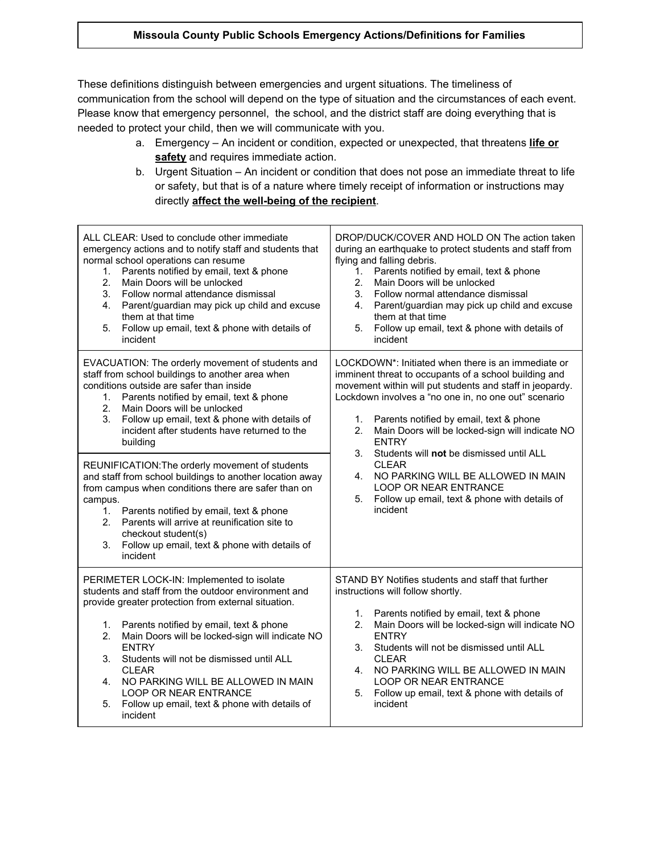## **Missoula County Public Schools Emergency Actions/Definitions for Families**

These definitions distinguish between emergencies and urgent situations. The timeliness of communication from the school will depend on the type of situation and the circumstances of each event. Please know that emergency personnel, the school, and the district staff are doing everything that is needed to protect your child, then we will communicate with you.

- a. Emergency An incident or condition, expected or unexpected, that threatens **life or safety** and requires immediate action.
- b. Urgent Situation An incident or condition that does not pose an immediate threat to life or safety, but that is of a nature where timely receipt of information or instructions may directly **affect the well-being of the recipient**.

| ALL CLEAR: Used to conclude other immediate<br>emergency actions and to notify staff and students that<br>normal school operations can resume<br>Parents notified by email, text & phone<br>1.<br>Main Doors will be unlocked<br>2.<br>3.<br>Follow normal attendance dismissal<br>4.<br>Parent/guardian may pick up child and excuse<br>them at that time<br>Follow up email, text & phone with details of<br>5.<br>incident                                                                      | DROP/DUCK/COVER AND HOLD ON The action taken<br>during an earthquake to protect students and staff from<br>flying and falling debris.<br>Parents notified by email, text & phone<br>1.<br>2.<br>Main Doors will be unlocked<br>3.<br>Follow normal attendance dismissal<br>4.<br>Parent/guardian may pick up child and excuse<br>them at that time<br>Follow up email, text & phone with details of<br>5.<br>incident                                                                                                                                               |
|----------------------------------------------------------------------------------------------------------------------------------------------------------------------------------------------------------------------------------------------------------------------------------------------------------------------------------------------------------------------------------------------------------------------------------------------------------------------------------------------------|---------------------------------------------------------------------------------------------------------------------------------------------------------------------------------------------------------------------------------------------------------------------------------------------------------------------------------------------------------------------------------------------------------------------------------------------------------------------------------------------------------------------------------------------------------------------|
| EVACUATION: The orderly movement of students and<br>staff from school buildings to another area when<br>conditions outside are safer than inside<br>Parents notified by email, text & phone<br>1.<br>Main Doors will be unlocked<br>2.<br>3.<br>Follow up email, text & phone with details of<br>incident after students have returned to the<br>building                                                                                                                                          | LOCKDOWN*: Initiated when there is an immediate or<br>imminent threat to occupants of a school building and<br>movement within will put students and staff in jeopardy.<br>Lockdown involves a "no one in, no one out" scenario<br>Parents notified by email, text & phone<br>1.<br>Main Doors will be locked-sign will indicate NO<br>2.<br><b>ENTRY</b><br>Students will not be dismissed until ALL<br>3.<br><b>CLEAR</b><br>NO PARKING WILL BE ALLOWED IN MAIN<br>4.<br>LOOP OR NEAR ENTRANCE<br>5.<br>Follow up email, text & phone with details of<br>incident |
| REUNIFICATION: The orderly movement of students<br>and staff from school buildings to another location away<br>from campus when conditions there are safer than on<br>campus.<br>1.<br>Parents notified by email, text & phone<br>Parents will arrive at reunification site to<br>2 <sup>1</sup><br>checkout student(s)<br>Follow up email, text & phone with details of<br>3.<br>incident                                                                                                         |                                                                                                                                                                                                                                                                                                                                                                                                                                                                                                                                                                     |
| PERIMETER LOCK-IN: Implemented to isolate<br>students and staff from the outdoor environment and<br>provide greater protection from external situation.<br>Parents notified by email, text & phone<br>1.<br>Main Doors will be locked-sign will indicate NO<br>2.<br><b>ENTRY</b><br>Students will not be dismissed until ALL<br>3.<br><b>CLEAR</b><br>NO PARKING WILL BE ALLOWED IN MAIN<br>4.<br><b>LOOP OR NEAR ENTRANCE</b><br>5.<br>Follow up email, text & phone with details of<br>incident | STAND BY Notifies students and staff that further<br>instructions will follow shortly.<br>Parents notified by email, text & phone<br>1.<br>Main Doors will be locked-sign will indicate NO<br>2.<br><b>ENTRY</b><br>Students will not be dismissed until ALL<br>3.<br>CI FAR<br>NO PARKING WILL BE ALLOWED IN MAIN<br>4.<br><b>LOOP OR NEAR ENTRANCE</b><br>Follow up email, text & phone with details of<br>5.<br>incident                                                                                                                                         |